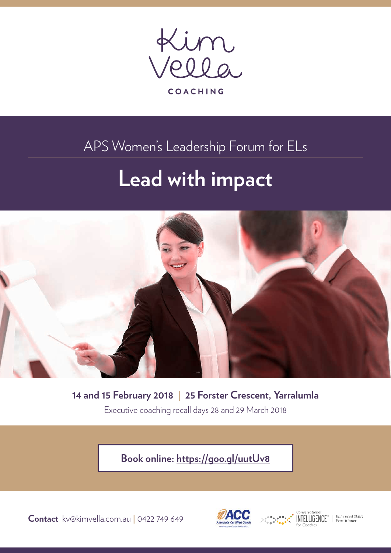

APS Women's Leadership Forum for ELs

# **Lead with impact**



**14 and 15 February 2018 | 25 Forster Crescent, Yarralumla** Executive coaching recall days 28 and 29 March 2018

**Book online: <https://goo.gl/uutUv8>**

**Contact** kv@kimvella.com.au **|** 0422 749 649





Enhanced Skills<br>Practitioner